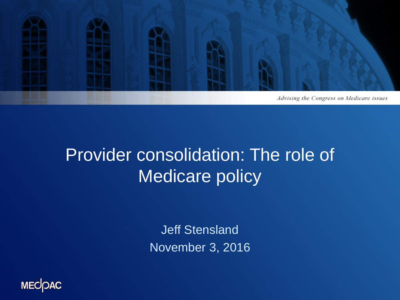

#### Provider consolidation: The role of Medicare policy

Jeff Stensland November 3, 2016

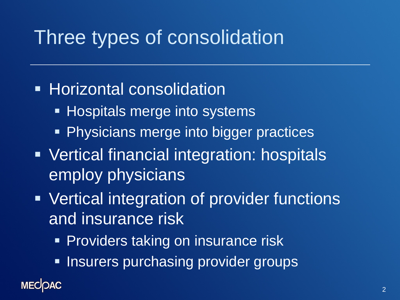## Three types of consolidation

#### **Horizontal consolidation**

- **Hospitals merge into systems**
- **Physicians merge into bigger practices**
- Vertical financial integration: hospitals employ physicians
- Vertical integration of provider functions and insurance risk
	- **Providers taking on insurance risk**
	- **Insurers purchasing provider groups**

#### **MECOAC**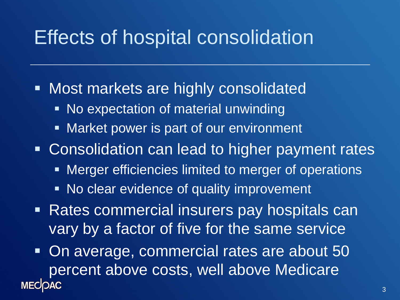### Effects of hospital consolidation

- **Nost markets are highly consolidated** 
	- No expectation of material unwinding
	- **Market power is part of our environment**

**Consolidation can lead to higher payment rates** 

- **EXET** Merger efficiencies limited to merger of operations
- **No clear evidence of quality improvement**
- Rates commercial insurers pay hospitals can vary by a factor of five for the same service

 On average, commercial rates are about 50 percent above costs, well above Medicare **MECOAC**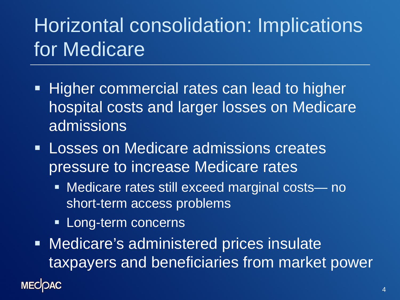# Horizontal consolidation: Implications for Medicare

- **Higher commercial rates can lead to higher** hospital costs and larger losses on Medicare admissions
- **Losses on Medicare admissions creates** pressure to increase Medicare rates
	- Medicare rates still exceed marginal costs— no short-term access problems
	- **Long-term concerns**
- Medicare's administered prices insulate taxpayers and beneficiaries from market power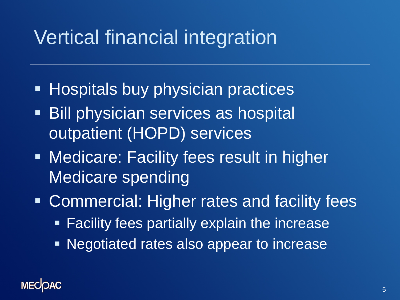# Vertical financial integration

- **Hospitals buy physician practices**
- **Bill physician services as hospital** outpatient (HOPD) services
- **Medicare: Facility fees result in higher** Medicare spending
- **EX Commercial: Higher rates and facility fees** 
	- **Facility fees partially explain the increase**
	- Negotiated rates also appear to increase

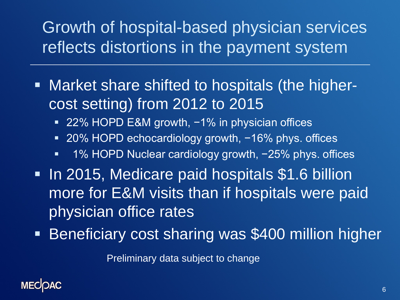#### Growth of hospital-based physician services reflects distortions in the payment system

- Market share shifted to hospitals (the highercost setting) from 2012 to 2015
	- 22% HOPD E&M growth, -1% in physician offices
	- 20% HOPD echocardiology growth, -16% phys. offices
	- 1% HOPD Nuclear cardiology growth, -25% phys. offices
- **In 2015, Medicare paid hospitals \$1.6 billion** more for E&M visits than if hospitals were paid physician office rates
- **Beneficiary cost sharing was \$400 million higher**

Preliminary data subject to change

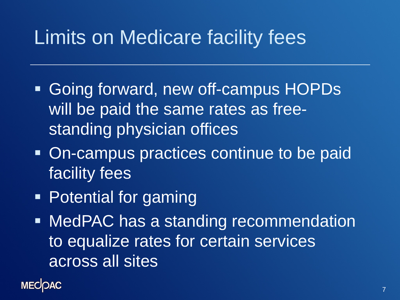# Limits on Medicare facility fees

- Going forward, new off-campus HOPDs will be paid the same rates as freestanding physician offices
- On-campus practices continue to be paid facility fees
- Potential for gaming

**• MedPAC has a standing recommendation** to equalize rates for certain services across all sites

**MECOAC**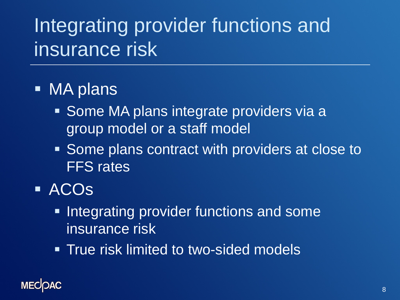# Integrating provider functions and insurance risk

- MA plans
	- Some MA plans integrate providers via a group model or a staff model
	- **Some plans contract with providers at close to** FFS rates
- ACOs
	- **Integrating provider functions and some** insurance risk
	- **True risk limited to two-sided models**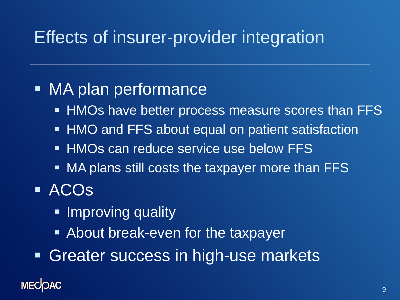#### Effects of insurer-provider integration

#### • MA plan performance

- **HMOs have better process measure scores than FFS**
- **HMO and FFS about equal on patient satisfaction**
- **HMOs can reduce service use below FFS**
- MA plans still costs the taxpayer more than FFS
- ACOs
	- **Improving quality**
	- About break-even for the taxpayer
- **Greater success in high-use markets**

#### **MECOAC**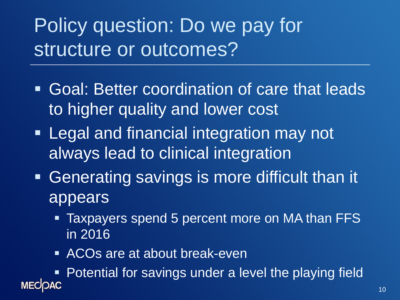Policy question: Do we pay for structure or outcomes?

- Goal: Better coordination of care that leads to higher quality and lower cost
- **Example 2 Financial integration may not** always lead to clinical integration
- Generating savings is more difficult than it appears
	- Taxpayers spend 5 percent more on MA than FFS in 2016
	- **ACOs are at about break-even**

■ Potential for savings under a level the playing field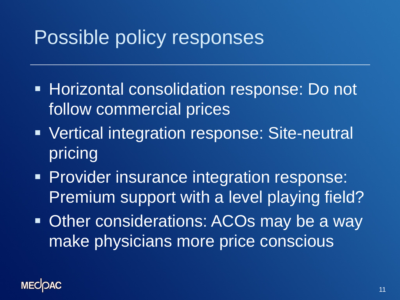## Possible policy responses

- **Horizontal consolidation response: Do not** follow commercial prices
- **Vertical integration response: Site-neutral** pricing
- **Provider insurance integration response:** Premium support with a level playing field?
- **Other considerations: ACOs may be a way** make physicians more price conscious